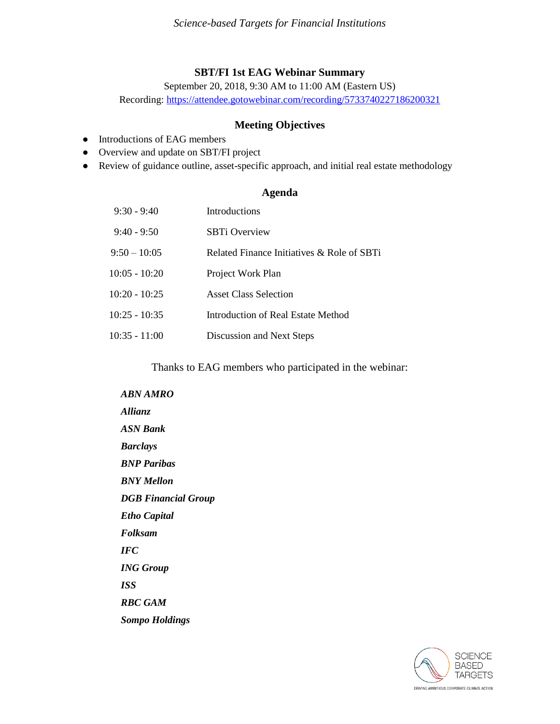# **SBT/FI 1st EAG Webinar Summary**

September 20, 2018, 9:30 AM to 11:00 AM (Eastern US) Recording:<https://attendee.gotowebinar.com/recording/5733740227186200321>

### **Meeting Objectives**

- Introductions of EAG members
- Overview and update on SBT/FI project
- Review of guidance outline, asset-specific approach, and initial real estate methodology

### **Agenda**

| $9:30 - 9:40$   | <b>Introductions</b>                       |
|-----------------|--------------------------------------------|
| $9:40 - 9:50$   | <b>SBTi Overview</b>                       |
| $9:50 - 10:05$  | Related Finance Initiatives & Role of SBTi |
| $10:05 - 10:20$ | Project Work Plan                          |
| $10:20 - 10:25$ | <b>Asset Class Selection</b>               |
| $10:25 - 10:35$ | Introduction of Real Estate Method         |
| $10:35 - 11:00$ | Discussion and Next Steps                  |

Thanks to EAG members who participated in the webinar:

| ABN AMRO                   |
|----------------------------|
| Allianz                    |
| <b>ASN Bank</b>            |
| <b>Barclays</b>            |
| <b>BNP</b> Paribas         |
| <b>BNY</b> Mellon          |
| <b>DGB</b> Financial Group |
| <b>Etho Capital</b>        |
| <b>Folksam</b>             |
| <b>IFC</b>                 |
| <b>ING Group</b>           |
| <i>ISS</i>                 |
| <b>RBC GAM</b>             |
| <b>Sompo Holdings</b>      |

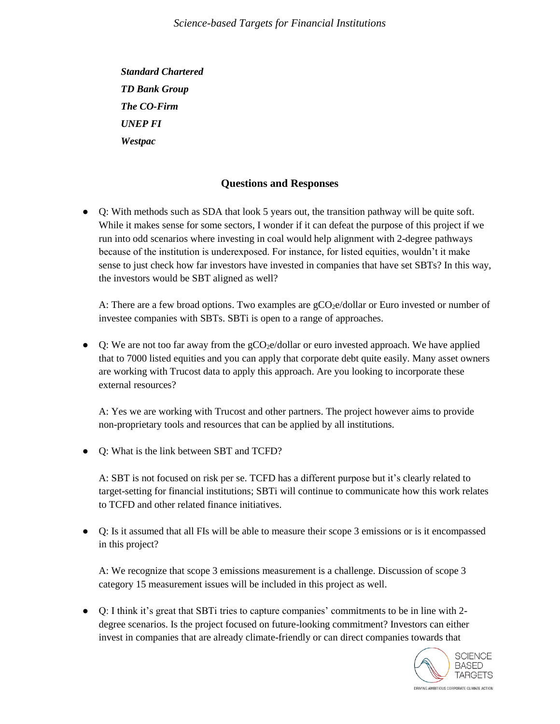*Standard Chartered TD Bank Group The CO-Firm UNEP FI Westpac*

# **Questions and Responses**

**●** Q: With methods such as SDA that look 5 years out, the transition pathway will be quite soft. While it makes sense for some sectors, I wonder if it can defeat the purpose of this project if we run into odd scenarios where investing in coal would help alignment with 2-degree pathways because of the institution is underexposed. For instance, for listed equities, wouldn't it make sense to just check how far investors have invested in companies that have set SBTs? In this way, the investors would be SBT aligned as well?

A: There are a few broad options. Two examples are  $gCO<sub>2</sub>e/dollar$  or Euro invested or number of investee companies with SBTs. SBTi is open to a range of approaches.

● Q: We are not too far away from the gCO<sub>2</sub>e/dollar or euro invested approach. We have applied that to 7000 listed equities and you can apply that corporate debt quite easily. Many asset owners are working with Trucost data to apply this approach. Are you looking to incorporate these external resources?

A: Yes we are working with Trucost and other partners. The project however aims to provide non-proprietary tools and resources that can be applied by all institutions.

● Q: What is the link between SBT and TCFD?

A: SBT is not focused on risk per se. TCFD has a different purpose but it's clearly related to target-setting for financial institutions; SBTi will continue to communicate how this work relates to TCFD and other related finance initiatives.

● Q: Is it assumed that all FIs will be able to measure their scope 3 emissions or is it encompassed in this project?

A: We recognize that scope 3 emissions measurement is a challenge. Discussion of scope 3 category 15 measurement issues will be included in this project as well.

● Q: I think it's great that SBTi tries to capture companies' commitments to be in line with 2 degree scenarios. Is the project focused on future-looking commitment? Investors can either invest in companies that are already climate-friendly or can direct companies towards that

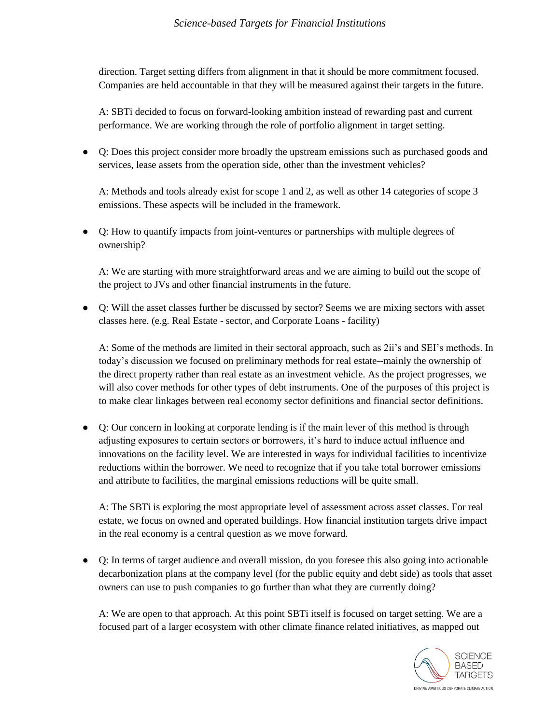### *Science-based Targets for Financial Institutions*

direction. Target setting differs from alignment in that it should be more commitment focused. Companies are held accountable in that they will be measured against their targets in the future.

A: SBTi decided to focus on forward-looking ambition instead of rewarding past and current performance. We are working through the role of portfolio alignment in target setting.

● Q: Does this project consider more broadly the upstream emissions such as purchased goods and services, lease assets from the operation side, other than the investment vehicles?

A: Methods and tools already exist for scope 1 and 2, as well as other 14 categories of scope 3 emissions. These aspects will be included in the framework.

● Q: How to quantify impacts from joint-ventures or partnerships with multiple degrees of ownership?

A: We are starting with more straightforward areas and we are aiming to build out the scope of the project to JVs and other financial instruments in the future.

● Q: Will the asset classes further be discussed by sector? Seems we are mixing sectors with asset classes here. (e.g. Real Estate - sector, and Corporate Loans - facility)

A: Some of the methods are limited in their sectoral approach, such as 2ii's and SEI's methods. In today's discussion we focused on preliminary methods for real estate--mainly the ownership of the direct property rather than real estate as an investment vehicle. As the project progresses, we will also cover methods for other types of debt instruments. One of the purposes of this project is to make clear linkages between real economy sector definitions and financial sector definitions.

● Q: Our concern in looking at corporate lending is if the main lever of this method is through adjusting exposures to certain sectors or borrowers, it's hard to induce actual influence and innovations on the facility level. We are interested in ways for individual facilities to incentivize reductions within the borrower. We need to recognize that if you take total borrower emissions and attribute to facilities, the marginal emissions reductions will be quite small.

A: The SBTi is exploring the most appropriate level of assessment across asset classes. For real estate, we focus on owned and operated buildings. How financial institution targets drive impact in the real economy is a central question as we move forward.

● Q: In terms of target audience and overall mission, do you foresee this also going into actionable decarbonization plans at the company level (for the public equity and debt side) as tools that asset owners can use to push companies to go further than what they are currently doing?

A: We are open to that approach. At this point SBTi itself is focused on target setting. We are a focused part of a larger ecosystem with other climate finance related initiatives, as mapped out